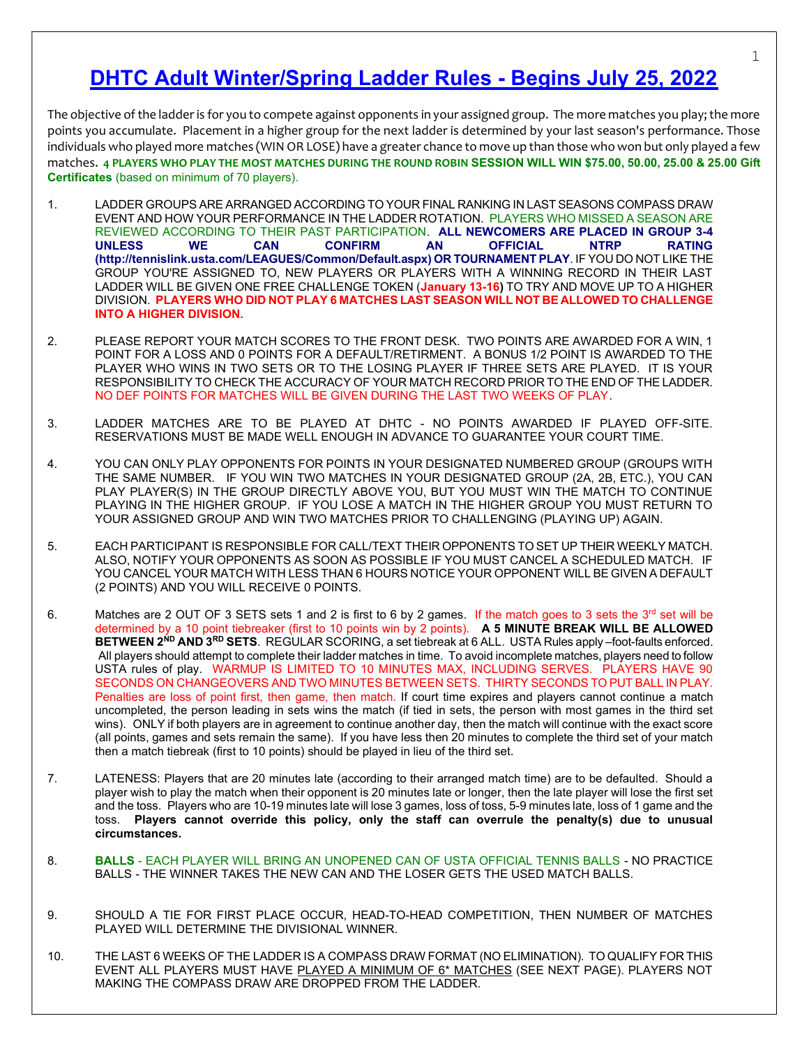# DHTC Adult Winter/Spring Ladder Rules - Begins July 25, 2022

The objective of the ladder is for you to compete against opponents in your assigned group. The more matches you play; the more points you accumulate. Placement in a higher group for the next ladder is determined by your last season's performance. Those individuals who played more matches (WIN OR LOSE) have a greater chance to move up than those who won but only played a few matches. 4 PLAYERS WHO PLAY THE MOST MATCHES DURING THE ROUND ROBIN SESSION WILL WIN \$75.00, 50.00, 25.00 & 25.00 Gift Certificates (based on minimum of 70 players).

- 1. LADDER GROUPS ARE ARRANGED ACCORDING TO YOUR FINAL RANKING IN LAST SEASONS COMPASS DRAW EVENT AND HOW YOUR PERFORMANCE IN THE LADDER ROTATION. PLAYERS WHO MISSED A SEASON ARE REVIEWED ACCORDING TO THEIR PAST PARTICIPATION. ALL NEWCOMERS ARE PLACED IN GROUP 3-4 UNLESS WE CAN CONFIRM AN OFFICIAL NTRP RATING (http://tennislink.usta.com/LEAGUES/Common/Default.aspx) OR TOURNAMENT PLAY. IF YOU DO NOT LIKE THE GROUP YOU'RE ASSIGNED TO, NEW PLAYERS OR PLAYERS WITH A WINNING RECORD IN THEIR LAST LADDER WILL BE GIVEN ONE FREE CHALLENGE TOKEN (January 13-16) TO TRY AND MOVE UP TO A HIGHER DIVISION. PLAYERS WHO DID NOT PLAY 6 MATCHES LAST SEASON WILL NOT BE ALLOWED TO CHALLENGE INTO A HIGHER DIVISION.
- 2. PLEASE REPORT YOUR MATCH SCORES TO THE FRONT DESK. TWO POINTS ARE AWARDED FOR A WIN, 1 POINT FOR A LOSS AND 0 POINTS FOR A DEFAULT/RETIRMENT. A BONUS 1/2 POINT IS AWARDED TO THE PLAYER WHO WINS IN TWO SETS OR TO THE LOSING PLAYER IF THREE SETS ARE PLAYED. IT IS YOUR RESPONSIBILITY TO CHECK THE ACCURACY OF YOUR MATCH RECORD PRIOR TO THE END OF THE LADDER. NO DEF POINTS FOR MATCHES WILL BE GIVEN DURING THE LAST TWO WEEKS OF PLAY.
- 3. LADDER MATCHES ARE TO BE PLAYED AT DHTC NO POINTS AWARDED IF PLAYED OFF-SITE. RESERVATIONS MUST BE MADE WELL ENOUGH IN ADVANCE TO GUARANTEE YOUR COURT TIME.
- 4. YOU CAN ONLY PLAY OPPONENTS FOR POINTS IN YOUR DESIGNATED NUMBERED GROUP (GROUPS WITH THE SAME NUMBER. IF YOU WIN TWO MATCHES IN YOUR DESIGNATED GROUP (2A, 2B, ETC.), YOU CAN PLAY PLAYER(S) IN THE GROUP DIRECTLY ABOVE YOU, BUT YOU MUST WIN THE MATCH TO CONTINUE PLAYING IN THE HIGHER GROUP. IF YOU LOSE A MATCH IN THE HIGHER GROUP YOU MUST RETURN TO YOUR ASSIGNED GROUP AND WIN TWO MATCHES PRIOR TO CHALLENGING (PLAYING UP) AGAIN.
- 5. EACH PARTICIPANT IS RESPONSIBLE FOR CALL/TEXT THEIR OPPONENTS TO SET UP THEIR WEEKLY MATCH. ALSO, NOTIFY YOUR OPPONENTS AS SOON AS POSSIBLE IF YOU MUST CANCEL A SCHEDULED MATCH. IF YOU CANCEL YOUR MATCH WITH LESS THAN 6 HOURS NOTICE YOUR OPPONENT WILL BE GIVEN A DEFAULT (2 POINTS) AND YOU WILL RECEIVE 0 POINTS.
- 6. Matches are 2 OUT OF 3 SETS sets 1 and 2 is first to 6 by 2 games. If the match goes to 3 sets the 3<sup>rd</sup> set will be determined by a 10 point tiebreaker (first to 10 points win by 2 points). A 5 MINUTE BREAK WILL BE ALLOWED BETWEEN 2<sup>ND</sup> AND 3<sup>RD</sup> SETS. REGULAR SCORING, a set tiebreak at 6 ALL. USTA Rules apply –foot-faults enforced. All players should attempt to complete their ladder matches in time. To avoid incomplete matches, players need to follow USTA rules of play. WARMUP IS LIMITED TO 10 MINUTES MAX, INCLUDING SERVES. PLAYERS HAVE 90 SECONDS ON CHANGEOVERS AND TWO MINUTES BETWEEN SETS. THIRTY SECONDS TO PUT BALL IN PLAY. Penalties are loss of point first, then game, then match. If court time expires and players cannot continue a match uncompleted, the person leading in sets wins the match (if tied in sets, the person with most games in the third set wins). ONLY if both players are in agreement to continue another day, then the match will continue with the exact score (all points, games and sets remain the same). If you have less then 20 minutes to complete the third set of your match then a match tiebreak (first to 10 points) should be played in lieu of the third set.
- 7. LATENESS: Players that are 20 minutes late (according to their arranged match time) are to be defaulted. Should a player wish to play the match when their opponent is 20 minutes late or longer, then the late player will lose the first set and the toss. Players who are 10-19 minutes late will lose 3 games, loss of toss, 5-9 minutes late, loss of 1 game and the toss. Players cannot override this policy, only the staff can overrule the penalty(s) due to unusual circumstances.
- 8. BALLS EACH PLAYER WILL BRING AN UNOPENED CAN OF USTA OFFICIAL TENNIS BALLS NO PRACTICE BALLS - THE WINNER TAKES THE NEW CAN AND THE LOSER GETS THE USED MATCH BALLS.
- 9. SHOULD A TIE FOR FIRST PLACE OCCUR, HEAD-TO-HEAD COMPETITION, THEN NUMBER OF MATCHES PLAYED WILL DETERMINE THE DIVISIONAL WINNER.
- 10. THE LAST 6 WEEKS OF THE LADDER IS A COMPASS DRAW FORMAT (NO ELIMINATION). TO QUALIFY FOR THIS EVENT ALL PLAYERS MUST HAVE PLAYED A MINIMUM OF 6\* MATCHES (SEE NEXT PAGE). PLAYERS NOT MAKING THE COMPASS DRAW ARE DROPPED FROM THE LADDER.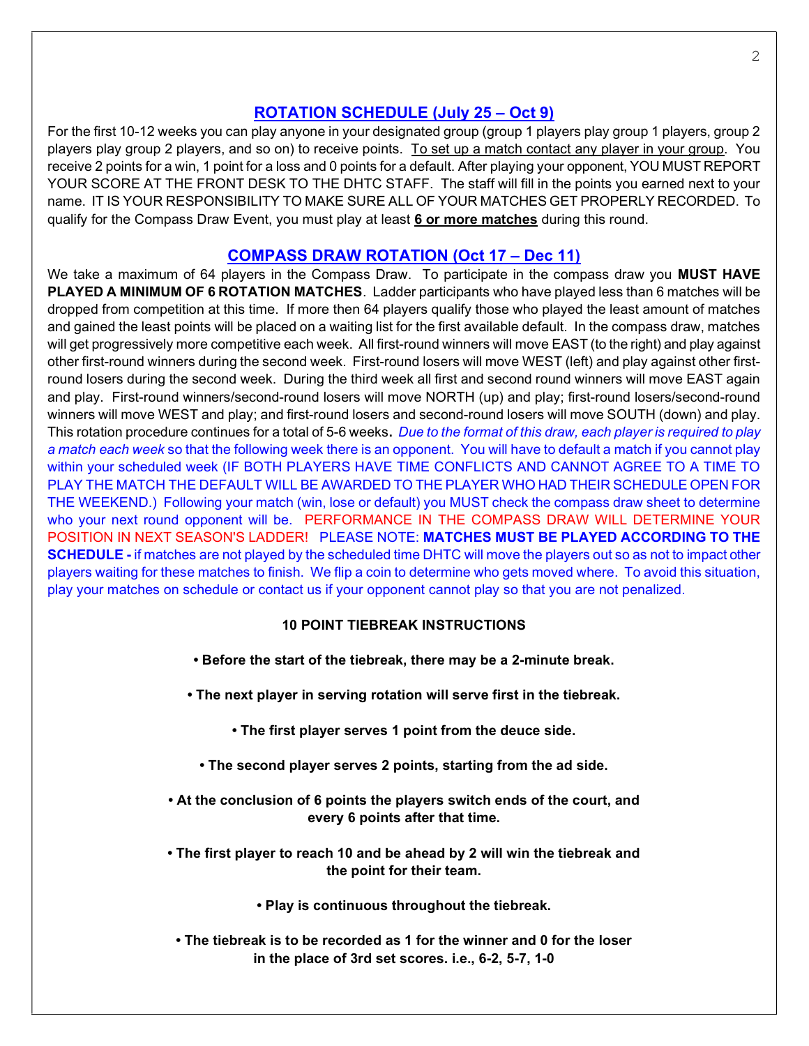### ROTATION SCHEDULE (July 25 – Oct 9)

For the first 10-12 weeks you can play anyone in your designated group (group 1 players play group 1 players, group 2 players play group 2 players, and so on) to receive points. To set up a match contact any player in your group. You receive 2 points for a win, 1 point for a loss and 0 points for a default. After playing your opponent, YOU MUST REPORT YOUR SCORE AT THE FRONT DESK TO THE DHTC STAFF. The staff will fill in the points you earned next to your name. IT IS YOUR RESPONSIBILITY TO MAKE SURE ALL OF YOUR MATCHES GET PROPERLY RECORDED. To qualify for the Compass Draw Event, you must play at least 6 or more matches during this round.

### COMPASS DRAW ROTATION (Oct 17 – Dec 11)

We take a maximum of 64 players in the Compass Draw. To participate in the compass draw you MUST HAVE PLAYED A MINIMUM OF 6 ROTATION MATCHES. Ladder participants who have played less than 6 matches will be dropped from competition at this time. If more then 64 players qualify those who played the least amount of matches and gained the least points will be placed on a waiting list for the first available default. In the compass draw, matches will get progressively more competitive each week. All first-round winners will move EAST (to the right) and play against other first-round winners during the second week. First-round losers will move WEST (left) and play against other firstround losers during the second week. During the third week all first and second round winners will move EAST again and play. First-round winners/second-round losers will move NORTH (up) and play; first-round losers/second-round winners will move WEST and play; and first-round losers and second-round losers will move SOUTH (down) and play. This rotation procedure continues for a total of 5-6 weeks. Due to the format of this draw, each player is required to play a match each week so that the following week there is an opponent. You will have to default a match if you cannot play within your scheduled week (IF BOTH PLAYERS HAVE TIME CONFLICTS AND CANNOT AGREE TO A TIME TO PLAY THE MATCH THE DEFAULT WILL BE AWARDED TO THE PLAYER WHO HAD THEIR SCHEDULE OPEN FOR THE WEEKEND.) Following your match (win, lose or default) you MUST check the compass draw sheet to determine who your next round opponent will be. PERFORMANCE IN THE COMPASS DRAW WILL DETERMINE YOUR POSITION IN NEXT SEASON'S LADDER! PLEASE NOTE: MATCHES MUST BE PLAYED ACCORDING TO THE SCHEDULE - if matches are not played by the scheduled time DHTC will move the players out so as not to impact other players waiting for these matches to finish. We flip a coin to determine who gets moved where. To avoid this situation, play your matches on schedule or contact us if your opponent cannot play so that you are not penalized.

#### 10 POINT TIEBREAK INSTRUCTIONS

- Before the start of the tiebreak, there may be a 2-minute break.
- The next player in serving rotation will serve first in the tiebreak.
	- The first player serves 1 point from the deuce side.
	- The second player serves 2 points, starting from the ad side.
- At the conclusion of 6 points the players switch ends of the court, and every 6 points after that time.
- The first player to reach 10 and be ahead by 2 will win the tiebreak and the point for their team.

• Play is continuous throughout the tiebreak.

• The tiebreak is to be recorded as 1 for the winner and 0 for the loser in the place of 3rd set scores. i.e., 6-2, 5-7, 1-0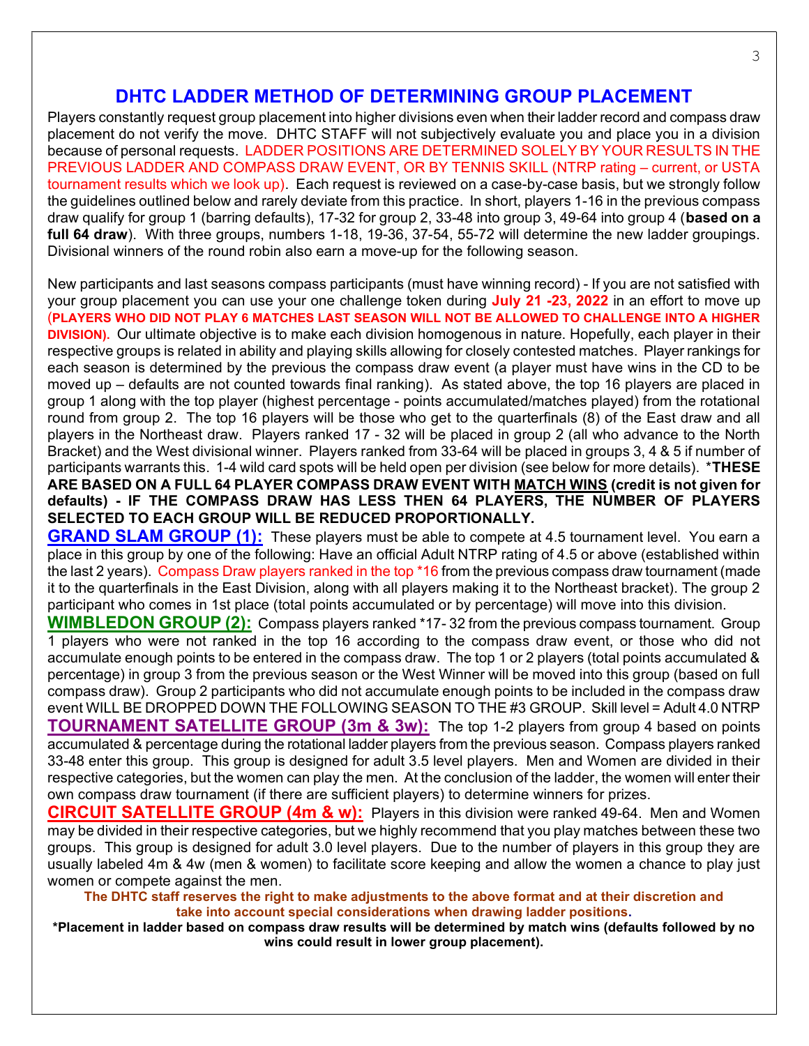### DHTC LADDER METHOD OF DETERMINING GROUP PLACEMENT

Players constantly request group placement into higher divisions even when their ladder record and compass draw placement do not verify the move. DHTC STAFF will not subjectively evaluate you and place you in a division because of personal requests. LADDER POSITIONS ARE DETERMINED SOLELY BY YOUR RESULTS IN THE PREVIOUS LADDER AND COMPASS DRAW EVENT, OR BY TENNIS SKILL (NTRP rating – current, or USTA tournament results which we look up). Each request is reviewed on a case-by-case basis, but we strongly follow the guidelines outlined below and rarely deviate from this practice. In short, players 1-16 in the previous compass draw qualify for group 1 (barring defaults), 17-32 for group 2, 33-48 into group 3, 49-64 into group 4 (based on a full 64 draw). With three groups, numbers 1-18, 19-36, 37-54, 55-72 will determine the new ladder groupings. Divisional winners of the round robin also earn a move-up for the following season.

New participants and last seasons compass participants (must have winning record) - If you are not satisfied with your group placement you can use your one challenge token during July 21 -23, 2022 in an effort to move up (PLAYERS WHO DID NOT PLAY 6 MATCHES LAST SEASON WILL NOT BE ALLOWED TO CHALLENGE INTO A HIGHER DIVISION). Our ultimate objective is to make each division homogenous in nature. Hopefully, each player in their respective groups is related in ability and playing skills allowing for closely contested matches. Player rankings for each season is determined by the previous the compass draw event (a player must have wins in the CD to be moved up – defaults are not counted towards final ranking). As stated above, the top 16 players are placed in group 1 along with the top player (highest percentage - points accumulated/matches played) from the rotational round from group 2. The top 16 players will be those who get to the quarterfinals (8) of the East draw and all players in the Northeast draw. Players ranked 17 - 32 will be placed in group 2 (all who advance to the North Bracket) and the West divisional winner. Players ranked from 33-64 will be placed in groups 3, 4 & 5 if number of participants warrants this. 1-4 wild card spots will be held open per division (see below for more details). \*THESE ARE BASED ON A FULL 64 PLAYER COMPASS DRAW EVENT WITH MATCH WINS (credit is not given for defaults) - IF THE COMPASS DRAW HAS LESS THEN 64 PLAYERS, THE NUMBER OF PLAYERS SELECTED TO EACH GROUP WILL BE REDUCED PROPORTIONALLY.

**GRAND SLAM GROUP (1):** These players must be able to compete at 4.5 tournament level. You earn a place in this group by one of the following: Have an official Adult NTRP rating of 4.5 or above (established within the last 2 years). Compass Draw players ranked in the top \*16 from the previous compass draw tournament (made it to the quarterfinals in the East Division, along with all players making it to the Northeast bracket). The group 2 participant who comes in 1st place (total points accumulated or by percentage) will move into this division.

WIMBLEDON GROUP (2): Compass players ranked \*17-32 from the previous compass tournament. Group 1 players who were not ranked in the top 16 according to the compass draw event, or those who did not accumulate enough points to be entered in the compass draw. The top 1 or 2 players (total points accumulated & percentage) in group 3 from the previous season or the West Winner will be moved into this group (based on full compass draw). Group 2 participants who did not accumulate enough points to be included in the compass draw event WILL BE DROPPED DOWN THE FOLLOWING SEASON TO THE #3 GROUP. Skill level = Adult 4.0 NTRP **TOURNAMENT SATELLITE GROUP (3m & 3w):** The top 1-2 players from group 4 based on points accumulated & percentage during the rotational ladder players from the previous season. Compass players ranked 33-48 enter this group. This group is designed for adult 3.5 level players. Men and Women are divided in their respective categories, but the women can play the men. At the conclusion of the ladder, the women will enter their own compass draw tournament (if there are sufficient players) to determine winners for prizes.

CIRCUIT SATELLITE GROUP (4m & w): Players in this division were ranked 49-64. Men and Women may be divided in their respective categories, but we highly recommend that you play matches between these two groups. This group is designed for adult 3.0 level players. Due to the number of players in this group they are usually labeled 4m & 4w (men & women) to facilitate score keeping and allow the women a chance to play just women or compete against the men.

The DHTC staff reserves the right to make adjustments to the above format and at their discretion and take into account special considerations when drawing ladder positions.

\*Placement in ladder based on compass draw results will be determined by match wins (defaults followed by no wins could result in lower group placement).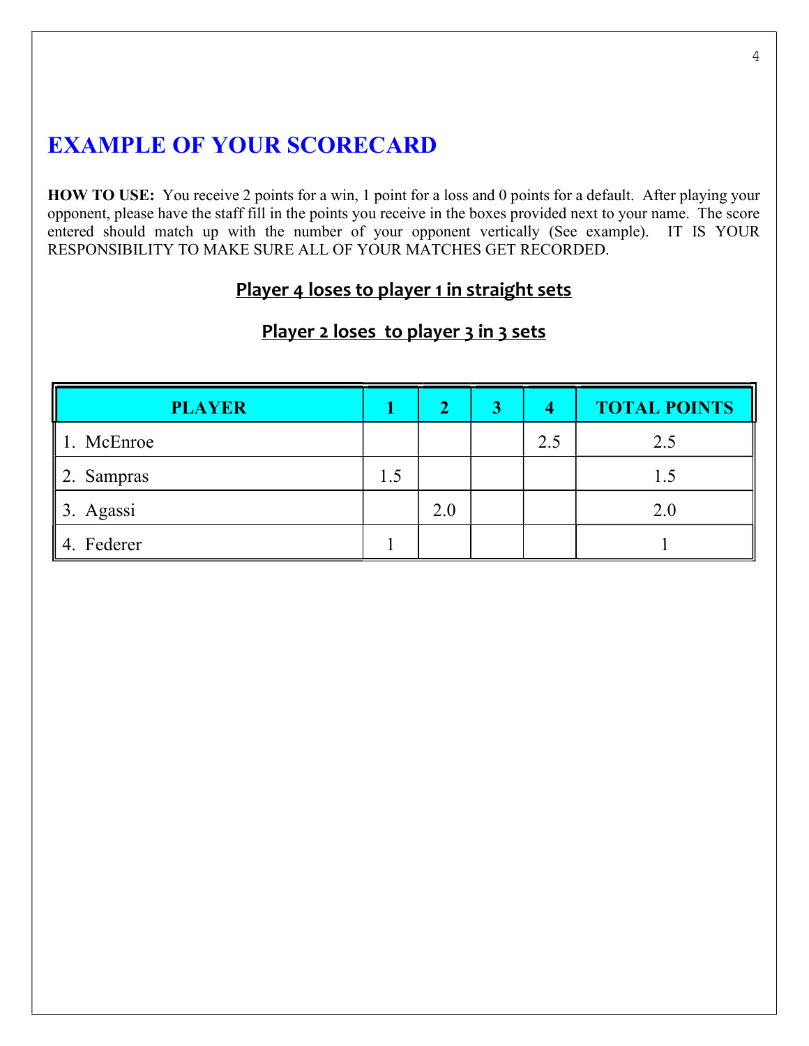# EXAMPLE OF YOUR SCORECARD

HOW TO USE: You receive 2 points for a win, 1 point for a loss and 0 points for a default. After playing your opponent, please have the staff fill in the points you receive in the boxes provided next to your name. The score entered should match up with the number of your opponent vertically (See example). IT IS YOUR RESPONSIBILITY TO MAKE SURE ALL OF YOUR MATCHES GET RECORDED.

## Player 4 loses to player 1 in straight sets

| <b>PLAYER</b>          |     |     | 3 | 4   | <b>TOTAL POINTS</b> |
|------------------------|-----|-----|---|-----|---------------------|
| McEnroe                |     |     |   | 2.5 | 2.5                 |
| $\parallel$ 2. Sampras | l.5 |     |   |     |                     |
| 13. Agassi             |     | 2.0 |   |     | 2.0                 |
| 4. Federer             |     |     |   |     |                     |

# Player 2 loses to player 3 in 3 sets